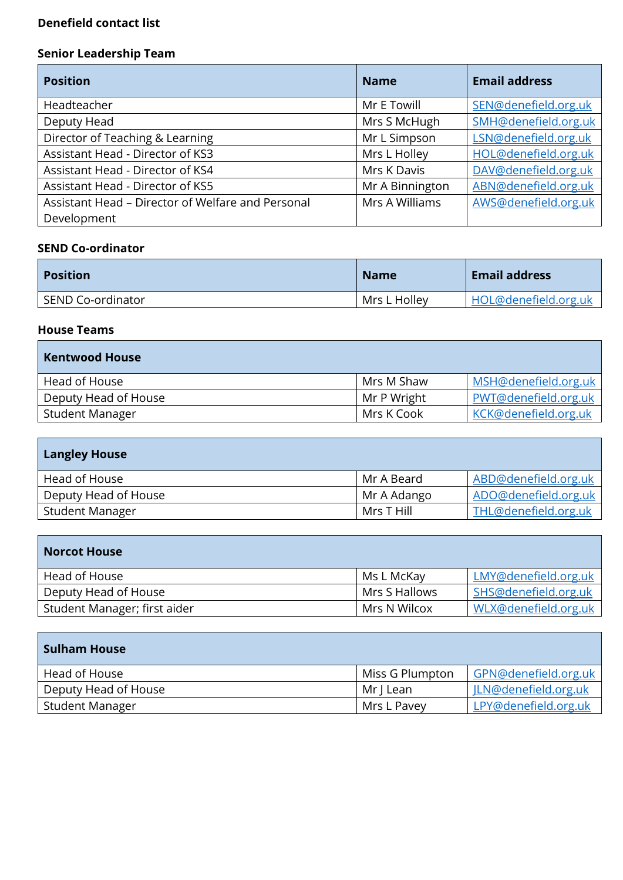### **Denefield contact list**

## **Senior Leadership Team**

| <b>Position</b>                                   | <b>Name</b>     | <b>Email address</b> |
|---------------------------------------------------|-----------------|----------------------|
| Headteacher                                       | Mr E Towill     | SEN@denefield.org.uk |
| Deputy Head                                       | Mrs S McHugh    | SMH@denefield.org.uk |
| Director of Teaching & Learning                   | Mr L Simpson    | LSN@denefield.org.uk |
| Assistant Head - Director of KS3                  | Mrs L Holley    | HOL@denefield.org.uk |
| Assistant Head - Director of KS4                  | Mrs K Davis     | DAV@denefield.org.uk |
| Assistant Head - Director of KS5                  | Mr A Binnington | ABN@denefield.org.uk |
| Assistant Head - Director of Welfare and Personal | Mrs A Williams  | AWS@denefield.org.uk |
| Development                                       |                 |                      |

#### **SEND Co-ordinator**

| <b>Position</b>   | <b>Name</b>  | <b>Email address</b> |
|-------------------|--------------|----------------------|
| SEND Co-ordinator | Mrs L Holley | HOL@denefield.org.uk |

#### **House Teams**

T

| <b>Kentwood House</b> |             |                      |
|-----------------------|-------------|----------------------|
| Head of House         | Mrs M Shaw  | MSH@denefield.org.uk |
| Deputy Head of House  | Mr P Wright | PWT@denefield.org.uk |
| Student Manager       | Mrs K Cook  | KCK@denefield.org.uk |

| <b>Langley House</b> |             |                      |
|----------------------|-------------|----------------------|
| Head of House        | Mr A Beard  | ABD@denefield.org.uk |
| Deputy Head of House | Mr A Adango | ADO@denefield.org.uk |
| Student Manager      | Mrs T Hill  | THL@denefield.org.uk |

| <b>Norcot House</b>          |               |                      |
|------------------------------|---------------|----------------------|
| Head of House                | Ms L McKay    | LMY@denefield.org.uk |
| Deputy Head of House         | Mrs S Hallows | SHS@denefield.org.uk |
| Student Manager; first aider | Mrs N Wilcox  | WLX@denefield.org.uk |

| <b>Sulham House</b>  |                 |                      |
|----------------------|-----------------|----------------------|
| Head of House        | Miss G Plumpton | GPN@denefield.org.uk |
| Deputy Head of House | Mr J Lean       | ILN@denefield.org.uk |
| Student Manager      | Mrs L Pavey     | LPY@denefield.org.uk |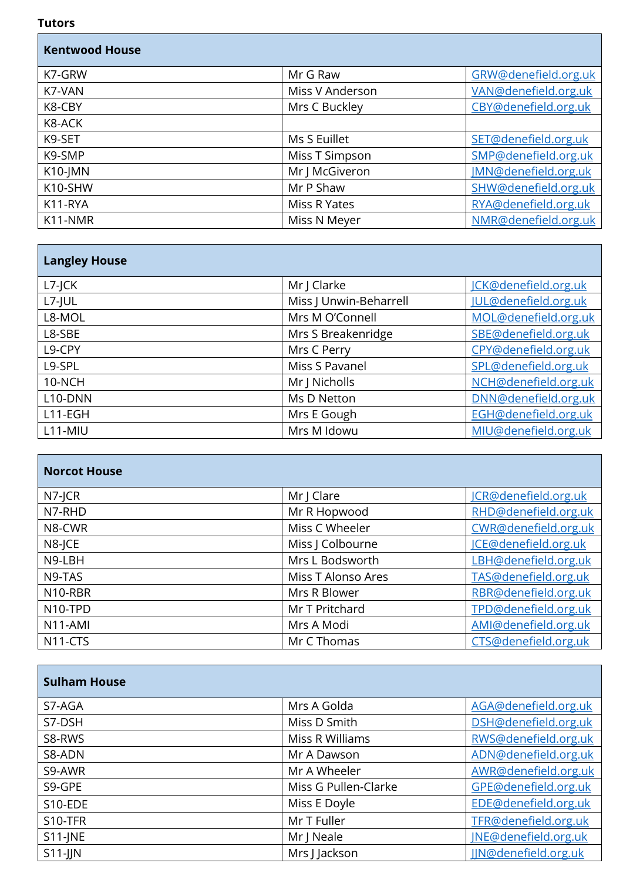#### **Tutors**

Т

| <b>Kentwood House</b> |                 |                      |
|-----------------------|-----------------|----------------------|
| K7-GRW                | Mr G Raw        | GRW@denefield.org.uk |
| K7-VAN                | Miss V Anderson | VAN@denefield.org.uk |
| K8-CBY                | Mrs C Buckley   | CBY@denefield.org.uk |
| K8-ACK                |                 |                      |
| K9-SET                | Ms S Euillet    | SET@denefield.org.uk |
| K9-SMP                | Miss T Simpson  | SMP@denefield.org.uk |
| K10-JMN               | Mr J McGiveron  | JMN@denefield.org.uk |
| K10-SHW               | Mr P Shaw       | SHW@denefield.org.uk |
| K11-RYA               | Miss R Yates    | RYA@denefield.org.uk |
| K11-NMR               | Miss N Meyer    | NMR@denefield.org.uk |

| <b>Langley House</b> |                        |                      |
|----------------------|------------------------|----------------------|
| $L7$ -JCK            | Mr J Clarke            | JCK@denefield.org.uk |
| $L7$ -JUL            | Miss J Unwin-Beharrell | JUL@denefield.org.uk |
| L8-MOL               | Mrs M O'Connell        | MOL@denefield.org.uk |
| L8-SBE               | Mrs S Breakenridge     | SBE@denefield.org.uk |
| L9-CPY               | Mrs C Perry            | CPY@denefield.org.uk |
| L9-SPL               | Miss S Pavanel         | SPL@denefield.org.uk |
| 10-NCH               | Mr J Nicholls          | NCH@denefield.org.uk |
| L10-DNN              | Ms D Netton            | DNN@denefield.org.uk |
| $L11-EGH$            | Mrs E Gough            | EGH@denefield.org.uk |
| $L11-MIU$            | Mrs M Idowu            | MIU@denefield.org.uk |

| <b>Norcot House</b>  |                    |                      |
|----------------------|--------------------|----------------------|
| $N7$ -JCR            | Mr J Clare         | JCR@denefield.org.uk |
| N7-RHD               | Mr R Hopwood       | RHD@denefield.org.uk |
| N8-CWR               | Miss C Wheeler     | CWR@denefield.org.uk |
| N8-JCE               | Miss J Colbourne   | ICE@denefield.org.uk |
| N9-LBH               | Mrs L Bodsworth    | LBH@denefield.org.uk |
| N9-TAS               | Miss T Alonso Ares | TAS@denefield.org.uk |
| N10-RBR              | Mrs R Blower       | RBR@denefield.org.uk |
| N10-TPD              | Mr T Pritchard     | TPD@denefield.org.uk |
| N11-AMI              | Mrs A Modi         | AMI@denefield.org.uk |
| N <sub>11</sub> -CTS | Mr C Thomas        | CTS@denefield.org.uk |

| <b>Sulham House</b> |                      |                      |
|---------------------|----------------------|----------------------|
| S7-AGA              | Mrs A Golda          | AGA@denefield.org.uk |
| S7-DSH              | Miss D Smith         | DSH@denefield.org.uk |
| S8-RWS              | Miss R Williams      | RWS@denefield.org.uk |
| S8-ADN              | Mr A Dawson          | ADN@denefield.org.uk |
| S9-AWR              | Mr A Wheeler         | AWR@denefield.org.uk |
| S9-GPE              | Miss G Pullen-Clarke | GPE@denefield.org.uk |
| S10-EDE             | Miss E Doyle         | EDE@denefield.org.uk |
| S10-TFR             | Mr T Fuller          | TFR@denefield.org.uk |
| $S11$ -JNE          | Mr J Neale           | JNE@denefield.org.uk |
| $S11$ -JJN          | Mrs J Jackson        | JIN@denefield.org.uk |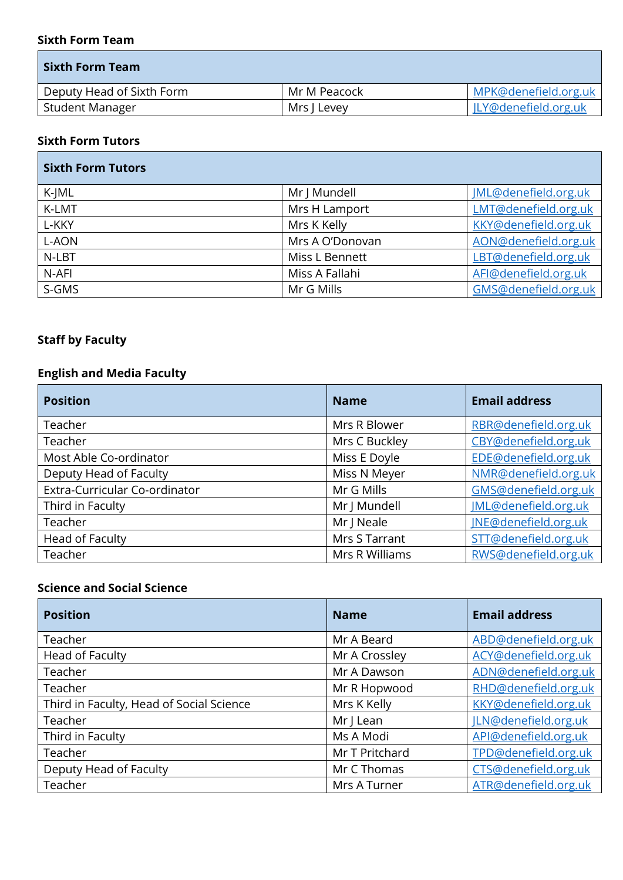#### **Sixth Form Team**

| l Sixth Form Team l       |              |                      |
|---------------------------|--------------|----------------------|
| Deputy Head of Sixth Form | Mr M Peacock | MPK@denefield.org.uk |
| Student Manager           | Mrs J Levey  | JLY@denefield.org.uk |

### **Sixth Form Tutors**

| <b>Sixth Form Tutors</b> |                 |                      |
|--------------------------|-----------------|----------------------|
| K-JML                    | Mr J Mundell    | JML@denefield.org.uk |
| K-LMT                    | Mrs H Lamport   | LMT@denefield.org.uk |
| L-KKY                    | Mrs K Kelly     | KKY@denefield.org.uk |
| L-AON                    | Mrs A O'Donovan | AON@denefield.org.uk |
| N-LBT                    | Miss L Bennett  | LBT@denefield.org.uk |
| N-AFI                    | Miss A Fallahi  | AFI@denefield.org.uk |
| S-GMS                    | Mr G Mills      | GMS@denefield.org.uk |

## **Staff by Faculty**

## **English and Media Faculty**

| <b>Position</b>               | <b>Name</b>    | <b>Email address</b> |
|-------------------------------|----------------|----------------------|
| Teacher                       | Mrs R Blower   | RBR@denefield.org.uk |
| Teacher                       | Mrs C Buckley  | CBY@denefield.org.uk |
| Most Able Co-ordinator        | Miss E Doyle   | EDE@denefield.org.uk |
| Deputy Head of Faculty        | Miss N Meyer   | NMR@denefield.org.uk |
| Extra-Curricular Co-ordinator | Mr G Mills     | GMS@denefield.org.uk |
| Third in Faculty              | Mr J Mundell   | JML@denefield.org.uk |
| Teacher                       | Mr   Neale     | JNE@denefield.org.uk |
| Head of Faculty               | Mrs S Tarrant  | STT@denefield.org.uk |
| Teacher                       | Mrs R Williams | RWS@denefield.org.uk |

### **Science and Social Science**

| <b>Position</b>                          | <b>Name</b>    | <b>Email address</b> |
|------------------------------------------|----------------|----------------------|
| Teacher                                  | Mr A Beard     | ABD@denefield.org.uk |
| Head of Faculty                          | Mr A Crossley  | ACY@denefield.org.uk |
| Teacher                                  | Mr A Dawson    | ADN@denefield.org.uk |
| Teacher                                  | Mr R Hopwood   | RHD@denefield.org.uk |
| Third in Faculty, Head of Social Science | Mrs K Kelly    | KKY@denefield.org.uk |
| Teacher                                  | Mr J Lean      | ILN@denefield.org.uk |
| Third in Faculty                         | Ms A Modi      | API@denefield.org.uk |
| Teacher                                  | Mr T Pritchard | TPD@denefield.org.uk |
| Deputy Head of Faculty                   | Mr C Thomas    | CTS@denefield.org.uk |
| Teacher                                  | Mrs A Turner   | ATR@denefield.org.uk |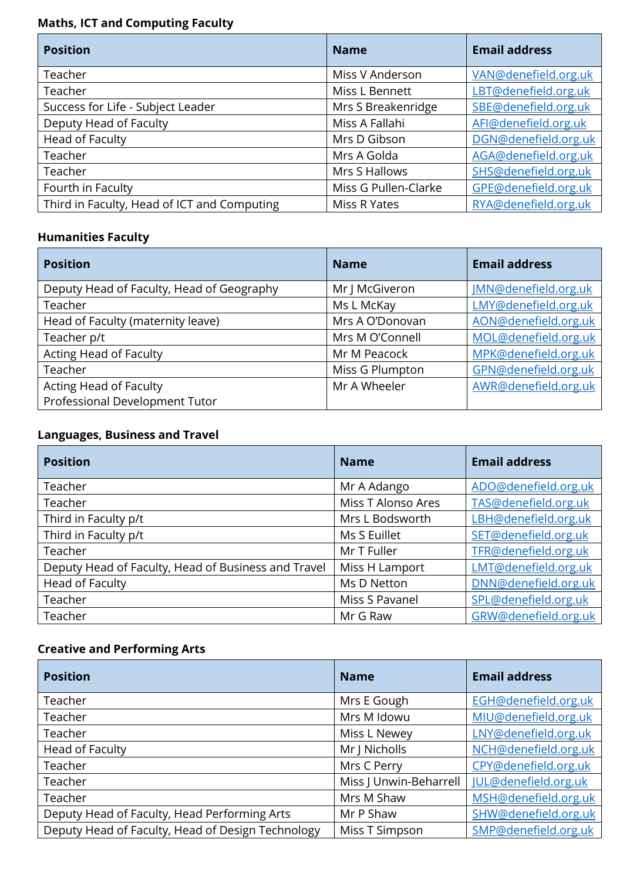# **Maths, ICT and Computing Faculty**

| <b>Position</b>                             | <b>Name</b>          | <b>Email address</b> |
|---------------------------------------------|----------------------|----------------------|
| Teacher                                     | Miss V Anderson      | VAN@denefield.org.uk |
| Teacher                                     | Miss L Bennett       | LBT@denefield.org.uk |
| Success for Life - Subject Leader           | Mrs S Breakenridge   | SBE@denefield.org.uk |
| Deputy Head of Faculty                      | Miss A Fallahi       | AFI@denefield.org.uk |
| Head of Faculty                             | Mrs D Gibson         | DGN@denefield.org.uk |
| Teacher                                     | Mrs A Golda          | AGA@denefield.org.uk |
| Teacher                                     | Mrs S Hallows        | SHS@denefield.org.uk |
| Fourth in Faculty                           | Miss G Pullen-Clarke | GPE@denefield.org.uk |
| Third in Faculty, Head of ICT and Computing | Miss R Yates         | RYA@denefield.org.uk |

# **Humanities Faculty**

| <b>Position</b>                           | <b>Name</b>     | <b>Email address</b> |
|-------------------------------------------|-----------------|----------------------|
| Deputy Head of Faculty, Head of Geography | Mr J McGiveron  | JMN@denefield.org.uk |
| Teacher                                   | Ms L McKay      | LMY@denefield.org.uk |
| Head of Faculty (maternity leave)         | Mrs A O'Donovan | AON@denefield.org.uk |
| Teacher p/t                               | Mrs M O'Connell | MOL@denefield.org.uk |
| Acting Head of Faculty                    | Mr M Peacock    | MPK@denefield.org.uk |
| Teacher                                   | Miss G Plumpton | GPN@denefield.org.uk |
| Acting Head of Faculty                    | Mr A Wheeler    | AWR@denefield.org.uk |
| Professional Development Tutor            |                 |                      |

# **Languages, Business and Travel**

| <b>Position</b>                                     | <b>Name</b>        | <b>Email address</b> |
|-----------------------------------------------------|--------------------|----------------------|
| Teacher                                             | Mr A Adango        | ADO@denefield.org.uk |
| Teacher                                             | Miss T Alonso Ares | TAS@denefield.org.uk |
| Third in Faculty p/t                                | Mrs L Bodsworth    | LBH@denefield.org.uk |
| Third in Faculty p/t                                | Ms S Euillet       | SET@denefield.org.uk |
| Teacher                                             | Mr T Fuller        | TFR@denefield.org.uk |
| Deputy Head of Faculty, Head of Business and Travel | Miss H Lamport     | LMT@denefield.org.uk |
| Head of Faculty                                     | Ms D Netton        | DNN@denefield.org.uk |
| Teacher                                             | Miss S Pavanel     | SPL@denefield.org.uk |
| Teacher                                             | Mr G Raw           | GRW@denefield.org.uk |

# **Creative and Performing Arts**

| <b>Position</b>                                   | <b>Name</b>            | <b>Email address</b> |
|---------------------------------------------------|------------------------|----------------------|
| Teacher                                           | Mrs E Gough            | EGH@denefield.org.uk |
| Teacher                                           | Mrs M Idowu            | MIU@denefield.org.uk |
| Teacher                                           | Miss L Newey           | LNY@denefield.org.uk |
| Head of Faculty                                   | Mr   Nicholls          | NCH@denefield.org.uk |
| Teacher                                           | Mrs C Perry            | CPY@denefield.org.uk |
| Teacher                                           | Miss   Unwin-Beharrell | JUL@denefield.org.uk |
| Teacher                                           | Mrs M Shaw             | MSH@denefield.org.uk |
| Deputy Head of Faculty, Head Performing Arts      | Mr P Shaw              | SHW@denefield.org.uk |
| Deputy Head of Faculty, Head of Design Technology | Miss T Simpson         | SMP@denefield.org.uk |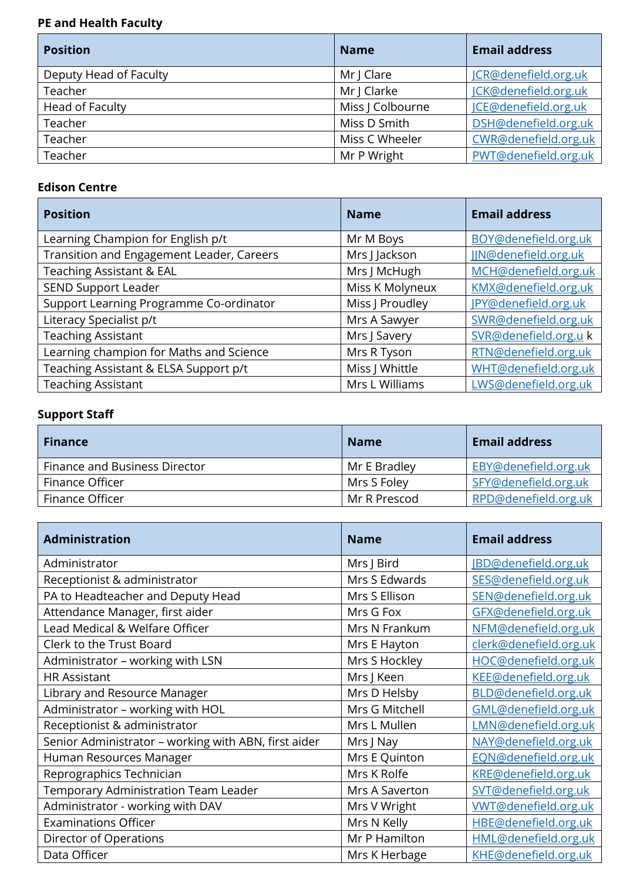# **PE and Health Faculty**

| <b>Position</b>        | <b>Name</b>      | <b>Email address</b> |
|------------------------|------------------|----------------------|
| Deputy Head of Faculty | Mr J Clare       | ICR@denefield.org.uk |
| Teacher                | Mr J Clarke      | JCK@denefield.org.uk |
| Head of Faculty        | Miss J Colbourne | ICE@denefield.org.uk |
| Teacher                | Miss D Smith     | DSH@denefield.org.uk |
| Teacher                | Miss C Wheeler   | CWR@denefield.org.uk |
| Teacher                | Mr P Wright      | PWT@denefield.org.uk |

### **Edison Centre**

| <b>Position</b>                           | <b>Name</b>     | <b>Email address</b> |
|-------------------------------------------|-----------------|----------------------|
| Learning Champion for English p/t         | Mr M Boys       | BOY@denefield.org.uk |
| Transition and Engagement Leader, Careers | Mrs J Jackson   | JIN@denefield.org.uk |
| <b>Teaching Assistant &amp; EAL</b>       | Mrs J McHugh    | MCH@denefield.org.uk |
| SEND Support Leader                       | Miss K Molyneux | KMX@denefield.org.uk |
| Support Learning Programme Co-ordinator   | Miss J Proudley | JPY@denefield.org.uk |
| Literacy Specialist p/t                   | Mrs A Sawyer    | SWR@denefield.org.uk |
| <b>Teaching Assistant</b>                 | Mrs J Savery    | SVR@denefield.org.uk |
| Learning champion for Maths and Science   | Mrs R Tyson     | RTN@denefield.org.uk |
| Teaching Assistant & ELSA Support p/t     | Miss J Whittle  | WHT@denefield.org.uk |
| <b>Teaching Assistant</b>                 | Mrs L Williams  | LWS@denefield.org.uk |

# **Support Staff**

| <b>Finance</b>                | <b>Name</b>  | <b>Email address</b> |
|-------------------------------|--------------|----------------------|
| Finance and Business Director | Mr E Bradley | EBY@denefield.org.uk |
| Finance Officer               | Mrs S Foley  | SFY@denefield.org.uk |
| Finance Officer               | Mr R Prescod | RPD@denefield.org.uk |

| <b>Administration</b>                                | <b>Name</b>    | <b>Email address</b>        |
|------------------------------------------------------|----------------|-----------------------------|
| Administrator                                        | Mrs J Bird     | <b>JBD@denefield.org.uk</b> |
| Receptionist & administrator                         | Mrs S Edwards  | SES@denefield.org.uk        |
| PA to Headteacher and Deputy Head                    | Mrs S Ellison  | SEN@denefield.org.uk        |
| Attendance Manager, first aider                      | Mrs G Fox      | GFX@denefield.org.uk        |
| Lead Medical & Welfare Officer                       | Mrs N Frankum  | NFM@denefield.org.uk        |
| Clerk to the Trust Board                             | Mrs E Hayton   | clerk@denefield.org.uk      |
| Administrator - working with LSN                     | Mrs S Hockley  | HOC@denefield.org.uk        |
| <b>HR Assistant</b>                                  | Mrs J Keen     | KEE@denefield.org.uk        |
| Library and Resource Manager                         | Mrs D Helsby   | BLD@denefield.org.uk        |
| Administrator - working with HOL                     | Mrs G Mitchell | GML@denefield.org.uk        |
| Receptionist & administrator                         | Mrs L Mullen   | LMN@denefield.org.uk        |
| Senior Administrator - working with ABN, first aider | Mrs J Nay      | NAY@denefield.org.uk        |
| Human Resources Manager                              | Mrs E Quinton  | EQN@denefield.org.uk        |
| Reprographics Technician                             | Mrs K Rolfe    | KRE@denefield.org.uk        |
| Temporary Administration Team Leader                 | Mrs A Saverton | SVT@denefield.org.uk        |
| Administrator - working with DAV                     | Mrs V Wright   | <b>VWT@denefield.org.uk</b> |
| <b>Examinations Officer</b>                          | Mrs N Kelly    | HBE@denefield.org.uk        |
| Director of Operations                               | Mr P Hamilton  | HML@denefield.org.uk        |
| Data Officer                                         | Mrs K Herbage  | KHE@denefield.org.uk        |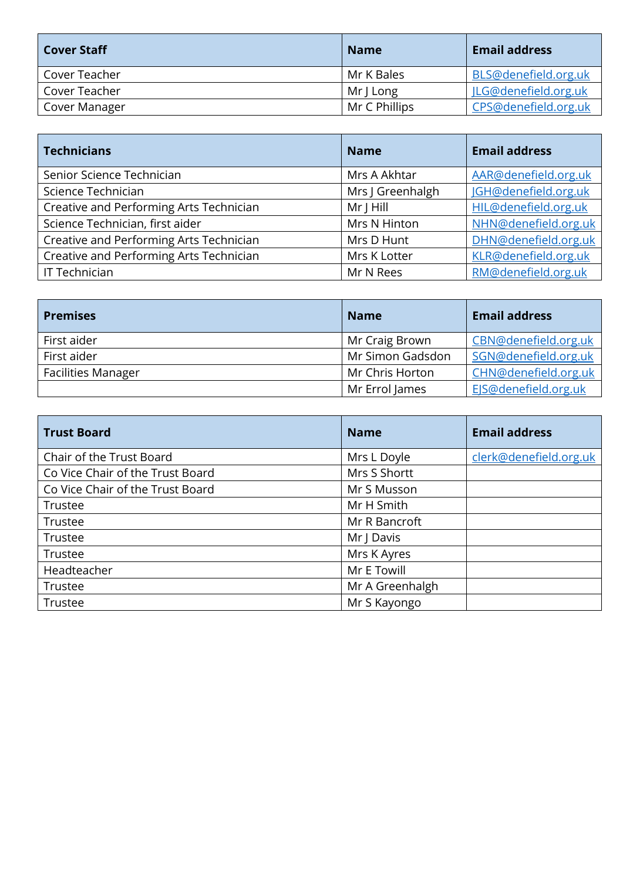| <b>Cover Staff</b> | <b>Name</b>   | <b>Email address</b> |
|--------------------|---------------|----------------------|
| Cover Teacher      | Mr K Bales    | BLS@denefield.org.uk |
| Cover Teacher      | Mr J Long     | JLG@denefield.org.uk |
| Cover Manager      | Mr C Phillips | CPS@denefield.org.uk |

| <b>Technicians</b>                      | <b>Name</b>      | <b>Email address</b> |
|-----------------------------------------|------------------|----------------------|
| Senior Science Technician               | Mrs A Akhtar     | AAR@denefield.org.uk |
| Science Technician                      | Mrs J Greenhalgh | JGH@denefield.org.uk |
| Creative and Performing Arts Technician | $Mr$ J Hill      | HIL@denefield.org.uk |
| Science Technician, first aider         | Mrs N Hinton     | NHN@denefield.org.uk |
| Creative and Performing Arts Technician | Mrs D Hunt       | DHN@denefield.org.uk |
| Creative and Performing Arts Technician | Mrs K Lotter     | KLR@denefield.org.uk |
| IT Technician                           | Mr N Rees        | RM@denefield.org.uk  |

| <b>Premises</b>           | <b>Name</b>      | <b>Email address</b> |
|---------------------------|------------------|----------------------|
| First aider               | Mr Craig Brown   | CBN@denefield.org.uk |
| First aider               | Mr Simon Gadsdon | SGN@denefield.org.uk |
| <b>Facilities Manager</b> | Mr Chris Horton  | CHN@denefield.org.uk |
|                           | Mr Errol James   | EIS@denefield.org.uk |

| <b>Trust Board</b>               | <b>Name</b>     | <b>Email address</b>   |
|----------------------------------|-----------------|------------------------|
| Chair of the Trust Board         | Mrs L Doyle     | clerk@denefield.org.uk |
| Co Vice Chair of the Trust Board | Mrs S Shortt    |                        |
| Co Vice Chair of the Trust Board | Mr S Musson     |                        |
| Trustee                          | Mr H Smith      |                        |
| Trustee                          | Mr R Bancroft   |                        |
| Trustee                          | Mr J Davis      |                        |
| Trustee                          | Mrs K Ayres     |                        |
| Headteacher                      | Mr E Towill     |                        |
| Trustee                          | Mr A Greenhalgh |                        |
| Trustee                          | Mr S Kayongo    |                        |